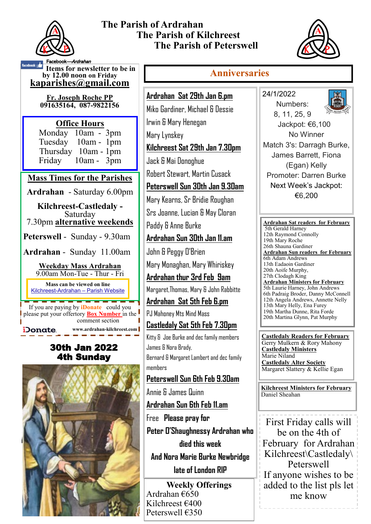

### **The Parish of Ardrahan The Parish of Kilchreest The Parish of Peterswell**



#### **Anniversaries**

**Items for newsletter to be in by 12.00 noon on Friday [kaparishes@gmail.com](mailto:kaparish@gmail.com)** book*—Ardrahar* 

**Fr. Joseph Roche PP 091635164, 087-9822156** 

#### **Office Hours**  Monday 10am - 3pm Tuesday 10am - 1pm Thursday 10am - 1pm Friday 10am - 3pm

#### **Mass Times for the Parishes**

**Ardrahan** - Saturday 6.00pm

**Kilchreest-Castledaly -**  Saturday 7.30pm **alternative weekends**

**Peterswell** - Sunday - 9.30am

**Ardrahan** - Sunday 11.00am

**Weekday Mass Ardrahan**  9.00am Mon-Tue - Thur - Fri

**Mass can be viewed on line**  Kilchreest-Ardrahan – Parish Website

If you are paying by **iDonate** could you please put your offertory **Box Number** in the comment section **www.ardrahan-kilchreest.com** Donate

## 30th Jan 2022 4th Sunday



**Ardrahan Sat 29th Jan 6.pm** Miko Gardiner, Michael & Dessie Irwin & Mary Henegan Mary Lynskey **Kilchreest Sat 29th Jan 7.30pm** Jack & Mai Donoghue Robert Stewart, Martin Cusack **Peterswell Sun 30th Jan 9.30am**

Mary Kearns, Sr Bridie Roughan

Srs Joanne, Lucian & May Cloran

Paddy & Anne Burke

**Ardrahan Sun 30th Jan 11.am**

John & Peggy O'Brien

Mary Monaghan, Mary Whiriskey

**Ardrahan thur 3rd Feb 9am**

Margaret,Thomas, Mary & John Rabbitte

**Ardrahan Sat 5th Feb 6.pm**

PJ Mahoney Mts Mind Mass

**Castledaly Sat 5th Feb 7.30pm** Kitty & Joe Burke and dec family members James & Nora Brady, Bernard & Margaret Lambert and dec family members

# **Peterswell Sun 6th Feb 9.30am**

Annie & James Quinn **Ardrahan Sun 6th Feb 11.am**

Free **Please pray for Peter O'Shaughnessy Ardrahan who died this week** 

**And Nora Marie Burke Newbridge late of London RIP** 

**Weekly Offerings** Ardrahan €650 Kilchreest €400 Peterswell €350



24/1/2022

€6,200

**Ardrahan Sat readers for February**  5th Gerald Harney 12th Raymond Connolly 19th Mary Roche 26th Shauna Gardiner **Ardrahan Sun readers for February** 6th Adam Andrews 13th Eadaoin Gardiner 20th Aoife Murphy, 27th Clodagh King **Ardrahan Ministers for February** 5th Laurie Harney, John Andrews 6th Padraig Broder, Danny McConnell 12th Angela Andrews, Annette Nelly 13th Mary Helly, Ena Furey 19th Martha Dunne, Rita Forde 20th Martina Glynn, Pat Murphy

**Castledaly Readers for February** Gerry Mulkern & Rory Mahony **Castledaly Ministers** Marie Niland **Castledaly Alter Society** Margaret Slattery & Kellie Egan

**Kilchreest Ministers for February** Daniel Sheahan

First Friday calls will be on the 4th of February for Ardrahan Kilchreest\Castledaly\ Peterswell If anyone wishes to be added to the list pls let me know